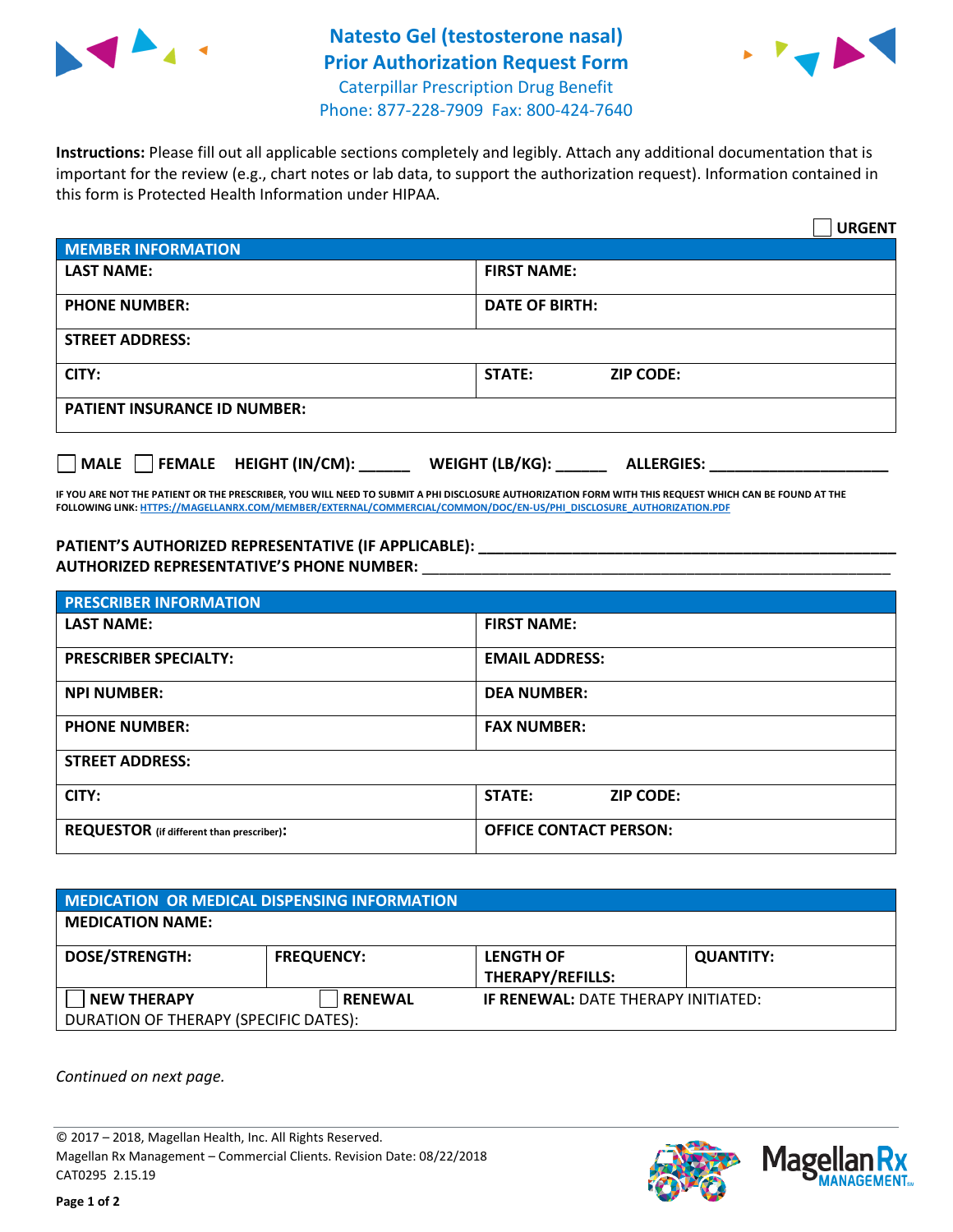

## **Natesto Gel (testosterone nasal) Prior Authorization Request Form** Caterpillar Prescription Drug Benefit Phone: 877-228-7909 Fax: 800-424-7640



**Instructions:** Please fill out all applicable sections completely and legibly. Attach any additional documentation that is important for the review (e.g., chart notes or lab data, to support the authorization request). Information contained in this form is Protected Health Information under HIPAA.

|                                              | <b>URGENT</b>                        |  |  |  |
|----------------------------------------------|--------------------------------------|--|--|--|
| <b>MEMBER INFORMATION</b>                    |                                      |  |  |  |
| <b>LAST NAME:</b>                            | <b>FIRST NAME:</b>                   |  |  |  |
| <b>PHONE NUMBER:</b>                         | <b>DATE OF BIRTH:</b>                |  |  |  |
| <b>STREET ADDRESS:</b>                       |                                      |  |  |  |
| CITY:                                        | STATE:<br><b>ZIP CODE:</b>           |  |  |  |
| <b>PATIENT INSURANCE ID NUMBER:</b>          |                                      |  |  |  |
| $\Box$ FEMALE HEIGHT (IN/CM):<br><b>MALE</b> | WEIGHT (LB/KG):<br><b>ALLERGIES:</b> |  |  |  |

**IF YOU ARE NOT THE PATIENT OR THE PRESCRIBER, YOU WILL NEED TO SUBMIT A PHI DISCLOSURE AUTHORIZATION FORM WITH THIS REQUEST WHICH CAN BE FOUND AT THE FOLLOWING LINK[: HTTPS://MAGELLANRX.COM/MEMBER/EXTERNAL/COMMERCIAL/COMMON/DOC/EN-US/PHI\\_DISCLOSURE\\_AUTHORIZATION.PDF](https://magellanrx.com/member/external/commercial/common/doc/en-us/PHI_Disclosure_Authorization.pdf)**

**PATIENT'S AUTHORIZED REPRESENTATIVE (IF APPLICABLE): \_\_\_\_\_\_\_\_\_\_\_\_\_\_\_\_\_\_\_\_\_\_\_\_\_\_\_\_\_\_\_\_\_\_\_\_\_\_\_\_\_\_\_\_\_\_\_\_\_ AUTHORIZED REPRESENTATIVE'S PHONE NUMBER:** \_\_\_\_\_\_\_\_\_\_\_\_\_\_\_\_\_\_\_\_\_\_\_\_\_\_\_\_\_\_\_\_\_\_\_\_\_\_\_\_\_\_\_\_\_\_\_\_\_\_\_\_\_\_\_

| <b>PRESCRIBER INFORMATION</b>             |                               |  |  |  |
|-------------------------------------------|-------------------------------|--|--|--|
| <b>LAST NAME:</b>                         | <b>FIRST NAME:</b>            |  |  |  |
| <b>PRESCRIBER SPECIALTY:</b>              | <b>EMAIL ADDRESS:</b>         |  |  |  |
| <b>NPI NUMBER:</b>                        | <b>DEA NUMBER:</b>            |  |  |  |
| <b>PHONE NUMBER:</b>                      | <b>FAX NUMBER:</b>            |  |  |  |
| <b>STREET ADDRESS:</b>                    |                               |  |  |  |
| CITY:                                     | STATE:<br><b>ZIP CODE:</b>    |  |  |  |
| REQUESTOR (if different than prescriber): | <b>OFFICE CONTACT PERSON:</b> |  |  |  |

| <b>MEDICATION OR MEDICAL DISPENSING INFORMATION</b> |                   |                                            |                  |  |  |
|-----------------------------------------------------|-------------------|--------------------------------------------|------------------|--|--|
| <b>MEDICATION NAME:</b>                             |                   |                                            |                  |  |  |
| <b>DOSE/STRENGTH:</b>                               | <b>FREQUENCY:</b> | <b>LENGTH OF</b>                           | <b>QUANTITY:</b> |  |  |
|                                                     |                   | <b>THERAPY/REFILLS:</b>                    |                  |  |  |
| <b>NEW THERAPY</b>                                  | <b>RENEWAL</b>    | <b>IF RENEWAL: DATE THERAPY INITIATED:</b> |                  |  |  |
| DURATION OF THERAPY (SPECIFIC DATES):               |                   |                                            |                  |  |  |

*Continued on next page.*

© 2017 – 2018, Magellan Health, Inc. All Rights Reserved. Magellan Rx Management – Commercial Clients. Revision Date: 08/22/2018 CAT0295 2.15.19